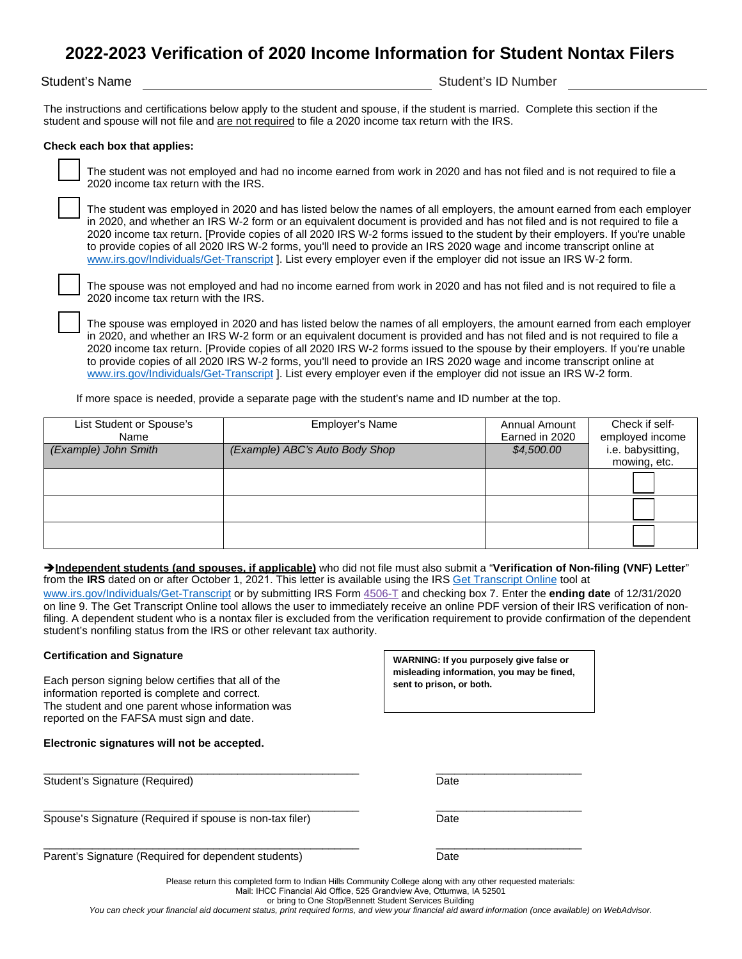# **2022-2023 Verification of 2020 Income Information for Student Nontax Filers**

#### Student's Name Student's ID Number

The instructions and certifications below apply to the student and spouse, if the student is married. Complete this section if the student and spouse will not file and are not required to file a 2020 income tax return with the IRS.

#### **Check each box that applies:**

 The student was not employed and had no income earned from work in 2020 and has not filed and is not required to file a 2020 income tax return with the IRS.

 The student was employed in 2020 and has listed below the names of all employers, the amount earned from each employer in 2020, and whether an IRS W-2 form or an equivalent document is provided and has not filed and is not required to file a 2020 income tax return. [Provide copies of all 2020 IRS W-2 forms issued to the student by their employers. If you're unable to provide copies of all 2020 IRS W-2 forms, you'll need to provide an IRS 2020 wage and income transcript online at [www.irs.gov/Individuals/Get-Transcript](http://www.irs.gov/Individuals/Get-Transcript) ]. List every employer even if the employer did not issue an IRS W-2 form.

 The spouse was not employed and had no income earned from work in 2020 and has not filed and is not required to file a 2020 income tax return with the IRS.

 The spouse was employed in 2020 and has listed below the names of all employers, the amount earned from each employer in 2020, and whether an IRS W-2 form or an equivalent document is provided and has not filed and is not required to file a 2020 income tax return. [Provide copies of all 2020 IRS W-2 forms issued to the spouse by their employers. If you're unable to provide copies of all 2020 IRS W-2 forms, you'll need to provide an IRS 2020 wage and income transcript online at [www.irs.gov/Individuals/Get-Transcript](http://www.irs.gov/Individuals/Get-Transcript) ]. List every employer even if the employer did not issue an IRS W-2 form.

If more space is needed, provide a separate page with the student's name and ID number at the top.

| List Student or Spouse's<br>Name | Employer's Name                | <b>Annual Amount</b><br>Earned in 2020 | Check if self-<br>employed income |
|----------------------------------|--------------------------------|----------------------------------------|-----------------------------------|
| (Example) John Smith             | (Example) ABC's Auto Body Shop | \$4,500.00                             | i.e. babysitting,<br>mowing, etc. |
|                                  |                                |                                        |                                   |
|                                  |                                |                                        |                                   |
|                                  |                                |                                        |                                   |

**Independent students (and spouses, if applicable)** who did not file must also submit a "**Verification of Non-filing (VNF) Letter**" from the **IRS** dated on or after October 1, 2021. This letter is available using the IRS [Get Transcript Online](https://www.irs.gov/individuals/get-transcript) tool at

[www.irs.gov/Individuals/Get-Transcript](http://www.irs.gov/Individuals/Get-Transcript) or by submitting IRS For[m 4506-T](https://www.irs.gov/forms-pubs/about-form-4506-t) and checking box 7. Enter the **ending date** of 12/31/2020 on line 9. The Get Transcript Online tool allows the user to immediately receive an online PDF version of their IRS verification of nonfiling. A dependent student who is a nontax filer is excluded from the verification requirement to provide confirmation of the dependent student's nonfiling status from the IRS or other relevant tax authority.

### **Certification and Signature**

Each person signing below certifies that all of the information reported is complete and correct. The student and one parent whose information was reported on the FAFSA must sign and date.

**Electronic signatures will not be accepted.**

Student's Signature (Required) and the student's Signature (Required)

Spouse's Signature (Required if spouse is non-tax filer) Date

**WARNING: If you purposely give false or misleading information, you may be fined, sent to prison, or both.**

\_\_\_\_\_\_\_\_\_\_\_\_\_\_\_\_\_\_\_\_\_\_\_\_\_\_\_\_\_\_\_\_\_\_\_\_\_\_\_\_\_\_\_\_\_\_\_\_\_\_\_\_ \_\_\_\_\_\_\_\_\_\_\_\_\_\_\_\_\_\_\_\_\_\_\_\_

\_\_\_\_\_\_\_\_\_\_\_\_\_\_\_\_\_\_\_\_\_\_\_\_\_\_\_\_\_\_\_\_\_\_\_\_\_\_\_\_\_\_\_\_\_\_\_\_\_\_\_\_ \_\_\_\_\_\_\_\_\_\_\_\_\_\_\_\_\_\_\_\_\_\_\_\_

\_\_\_\_\_\_\_\_\_\_\_\_\_\_\_\_\_\_\_\_\_\_\_\_\_\_\_\_\_\_\_\_\_\_\_\_\_\_\_\_\_\_\_\_\_\_\_\_\_\_\_\_ \_\_\_\_\_\_\_\_\_\_\_\_\_\_\_\_\_\_\_\_\_\_\_\_ Parent's Signature (Required for dependent students) example and the Date

Please return this completed form to Indian Hills Community College along with any other requested materials:

Mail: IHCC Financial Aid Office, 525 Grandview Ave, Ottumwa, IA 52501

or bring to One Stop/Bennett Student Services Building

*You can check your financial aid document status, print required forms, and view your financial aid award information (once available) on WebAdvisor.*